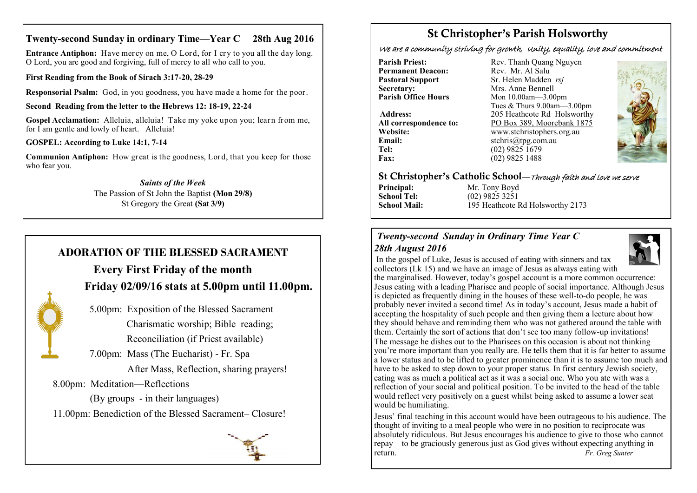### **Twenty-second Sunday in ordinary Time—Year C 28th Aug 2016**

**Entrance Antiphon:** Have mercy on me, O Lord, for I cry to you all the day long. O Lord, you are good and forgiving, full of mercy to all who call to you.

**First Reading from the Book of Sirach 3:17-20, 28-29**

**Responsorial Psalm:** God, in you goodness, you have made a home for the poor.

**Second Reading from the letter to the Hebrews 12: 18-19, 22-24**

**Gospel Acclamation:** Alleluia, alleluia! Take my yoke upon you; learn from me, for I am gentle and lowly of heart. Alleluia!

**GOSPEL: According to Luke 14:1, 7-14**

**Communion Antiphon:** How great is the goodness, Lord, that you keep for those who fear you.

> *Saints of the Week* The Passion of St John the Baptist **(Mon 29/8)** St Gregory the Great **(Sat 3/9)**

## **ADORATION OF THE BLESSED SACRAMENT**

# **Every First Friday of the month Friday 02/09/16 stats at 5.00pm until 11.00pm.**



 5.00pm: Exposition of the Blessed Sacrament Charismatic worship; Bible reading; Reconciliation (if Priest available)

7.00pm: Mass (The Eucharist) - Fr. Spa

After Mass, Reflection, sharing prayers!

8.00pm: Meditation—Reflections

 (By groups - in their languages) 11.00pm: Benediction of the Blessed Sacrament– Closure!



# St Christopher's Parish Holsworthy

We are a community striving for growth, Unity, equality, love and commitment

**Permanent Deacon:**<br>**Pastoral Support Secretary:**  $\overrightarrow{ }$  Mrs. Anne Bennell<br> **Parish Office Hours** Mon 10.00am - 3.00

**Email:** stchris@tpg.com.au<br> **Tel:** (02) 9825 1679 **Fax:** (02) 9825 1488

**Parish Priest:** Rev. Thanh Quang Nguyen<br> **Permanent Deacon:** Rev. Mr. Al Salu **Pastoral Support** Sr. Helen Madden *rsj*<br>
Secretary: Mrs. Anne Bennell **Mon 10.00am—3.00pm** Tues & Thurs 9.00am—3.00pm Address: 205 Heathcote Rd Holsworthy **All correspondence to:** PO Box 389, Moorebank 1875 **Website:** www.stchristophers.org.au<br> **Email:** stchris@tng.com au **Tel:** (02) 9825 1679



#### St Christopher's Catholic School—Through faith and love we serve

**Principal:** Mr. Tony Boyd **School Tel:** (02) 9825 3251

**School Mail:** 195 Heathcote Rd Holsworthy 2173

## *Twenty-second Sunday in Ordinary Time Year C 28th August 2016*



In the gospel of Luke, Jesus is accused of eating with sinners and tax collectors (Lk 15) and we have an image of Jesus as always eating with the marginalised. However, today's gospel account is a more common occurrence: Jesus eating with a leading Pharisee and people of social importance. Although Jesus is depicted as frequently dining in the houses of these well-to-do people, he was probably never invited a second time! As in today's account, Jesus made a habit of accepting the hospitality of such people and then giving them a lecture about how they should behave and reminding them who was not gathered around the table with them. Certainly the sort of actions that don't see too many follow-up invitations! The message he dishes out to the Pharisees on this occasion is about not thinking you're more important than you really are. He tells them that it is far better to assume a lower status and to be lifted to greater prominence than it is to assume too much and have to be asked to step down to your proper status. In first century Jewish society, eating was as much a political act as it was a social one. Who you ate with was a reflection of your social and political position. To be invited to the head of the table would reflect very positively on a guest whilst being asked to assume a lower seat would be humiliating.

Jesus' final teaching in this account would have been outrageous to his audience. The thought of inviting to a meal people who were in no position to reciprocate was absolutely ridiculous. But Jesus encourages his audience to give to those who cannot repay – to be graciously generous just as God gives without expecting anything in return. *Fr. Greg Sunter*